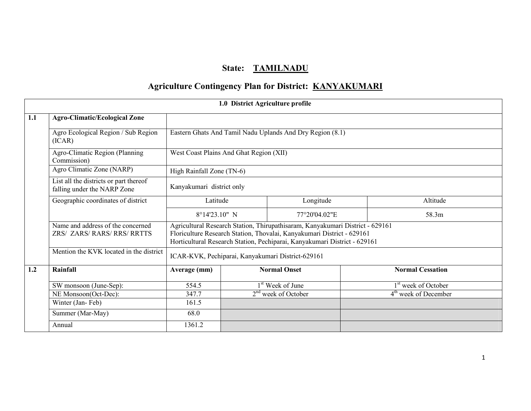# State: TAMILNADU

# Agriculture Contingency Plan for District: KANYAKUMARI

|     | 1.0 District Agriculture profile                                      |                                                           |                                         |                                                                                                                                                                                                                                      |  |                                  |  |  |  |
|-----|-----------------------------------------------------------------------|-----------------------------------------------------------|-----------------------------------------|--------------------------------------------------------------------------------------------------------------------------------------------------------------------------------------------------------------------------------------|--|----------------------------------|--|--|--|
| 1.1 | <b>Agro-Climatic/Ecological Zone</b>                                  |                                                           |                                         |                                                                                                                                                                                                                                      |  |                                  |  |  |  |
|     | Agro Ecological Region / Sub Region<br>(ICAR)                         | Eastern Ghats And Tamil Nadu Uplands And Dry Region (8.1) |                                         |                                                                                                                                                                                                                                      |  |                                  |  |  |  |
|     | Agro-Climatic Region (Planning<br>Commission)                         |                                                           | West Coast Plains And Ghat Region (XII) |                                                                                                                                                                                                                                      |  |                                  |  |  |  |
|     | Agro Climatic Zone (NARP)                                             | High Rainfall Zone (TN-6)                                 |                                         |                                                                                                                                                                                                                                      |  |                                  |  |  |  |
|     | List all the districts or part thereof<br>falling under the NARP Zone |                                                           | Kanyakumari district only               |                                                                                                                                                                                                                                      |  |                                  |  |  |  |
|     | Geographic coordinates of district                                    | Latitude<br>Longitude                                     |                                         |                                                                                                                                                                                                                                      |  | Altitude                         |  |  |  |
|     |                                                                       | $8^{\circ}14'23.10''$ N                                   |                                         | 77°20'04.02"E                                                                                                                                                                                                                        |  | 58.3m                            |  |  |  |
|     | Name and address of the concerned<br>ZRS/ ZARS/ RARS/ RRS/ RRTTS      |                                                           |                                         | Agricultural Research Station, Thirupathisaram, Kanyakumari District - 629161<br>Floriculture Research Station, Thovalai, Kanyakumari District - 629161<br>Horticultural Research Station, Pechiparai, Kanyakumari District - 629161 |  |                                  |  |  |  |
|     | Mention the KVK located in the district                               |                                                           |                                         | ICAR-KVK, Pechiparai, Kanyakumari District-629161                                                                                                                                                                                    |  |                                  |  |  |  |
| 1.2 | Rainfall                                                              | Average (mm)                                              |                                         | <b>Normal Onset</b>                                                                                                                                                                                                                  |  | <b>Normal Cessation</b>          |  |  |  |
|     | SW monsoon (June-Sep):                                                | 554.5                                                     |                                         | 1 <sup>st</sup> Week of June                                                                                                                                                                                                         |  | 1 <sup>st</sup> week of October  |  |  |  |
|     | NE Monsoon(Oct-Dec):                                                  | 347.7                                                     |                                         | $2nd$ week of October                                                                                                                                                                                                                |  | 4 <sup>th</sup> week of December |  |  |  |
|     | Winter (Jan-Feb)                                                      | 161.5                                                     |                                         |                                                                                                                                                                                                                                      |  |                                  |  |  |  |
|     | Summer (Mar-May)                                                      | 68.0                                                      |                                         |                                                                                                                                                                                                                                      |  |                                  |  |  |  |
|     | Annual                                                                | 1361.2                                                    |                                         |                                                                                                                                                                                                                                      |  |                                  |  |  |  |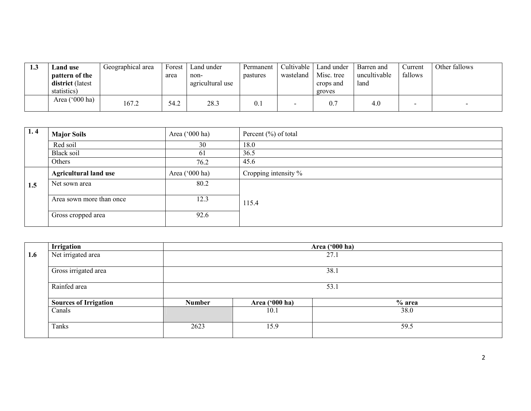| 1.J | Land use                | Geographical area | Forest | Land under       | Permanent | Cultivable | Land under | Barren and   | ∠urrent | Other fallows |
|-----|-------------------------|-------------------|--------|------------------|-----------|------------|------------|--------------|---------|---------------|
|     | pattern of the          |                   | area   | non-             | pastures  | wasteland  | Misc. tree | uncultivable | fallows |               |
|     | <b>district</b> (latest |                   |        | agricultural use |           |            | crops and  | land         |         |               |
|     | statistics)             |                   |        |                  |           |            | groves     |              |         |               |
|     | Area ('000 ha)          | 167.2             | 54.2   | 28.3             | 0.1       |            | 0.7        | 4.0          |         |               |

| 1.4 | <b>Major Soils</b>           | Area $(^{\circ}000$ ha) | Percent $(\% )$ of total |
|-----|------------------------------|-------------------------|--------------------------|
|     | Red soil                     | 30                      | 18.0                     |
|     | Black soil                   | 61                      | 36.5                     |
|     | Others                       | 76.2                    | 45.6                     |
|     | <b>Agricultural land use</b> | Area $(^{\circ}000$ ha) | Cropping intensity %     |
| 1.5 | Net sown area                | 80.2                    |                          |
|     | Area sown more than once     | 12.3                    | 115.4                    |
|     | Gross cropped area           | 92.6                    |                          |

|     | Irrigation                   |               |                | Area ('000 ha) |  |  |  |  |  |  |
|-----|------------------------------|---------------|----------------|----------------|--|--|--|--|--|--|
| 1.6 | Net irrigated area           | 27.1          |                |                |  |  |  |  |  |  |
|     |                              |               |                |                |  |  |  |  |  |  |
|     | Gross irrigated area         |               | 38.1           |                |  |  |  |  |  |  |
|     | Rainfed area                 | 53.1          |                |                |  |  |  |  |  |  |
|     | <b>Sources of Irrigation</b> | <b>Number</b> | Area ('000 ha) | $%$ area       |  |  |  |  |  |  |
|     | Canals                       |               | 10.1           | 38.0           |  |  |  |  |  |  |
|     | Tanks                        | 2623          | 15.9           | 59.5           |  |  |  |  |  |  |
|     |                              |               |                |                |  |  |  |  |  |  |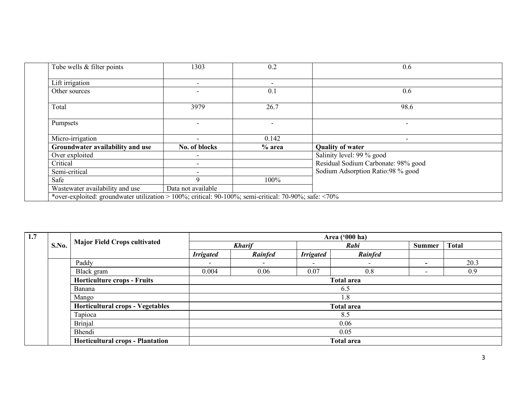| Tube wells $&$ filter points                                                                                | 1303                     | 0.2                      | 0.6                                 |
|-------------------------------------------------------------------------------------------------------------|--------------------------|--------------------------|-------------------------------------|
| Lift irrigation                                                                                             |                          | $\overline{\phantom{0}}$ |                                     |
| Other sources                                                                                               |                          | 0.1                      | 0.6                                 |
| Total                                                                                                       | 3979                     | 26.7                     | 98.6                                |
| Pumpsets                                                                                                    |                          | $\overline{\phantom{a}}$ |                                     |
| Micro-irrigation                                                                                            | $\overline{\phantom{0}}$ | 0.142                    |                                     |
| Groundwater availability and use                                                                            | No. of blocks            | $%$ area                 | <b>Quality of water</b>             |
| Over exploited                                                                                              | $\overline{\phantom{a}}$ |                          | Salinity level: 99 % good           |
| Critical                                                                                                    | $\overline{\phantom{0}}$ |                          | Residual Sodium Carbonate: 98% good |
| Semi-critical                                                                                               |                          |                          | Sodium Adsorption Ratio:98 % good   |
| Safe                                                                                                        | 9                        | 100%                     |                                     |
| Wastewater availability and use                                                                             | Data not available       |                          |                                     |
| *over-exploited: groundwater utilization > 100%; critical: 90-100%; semi-critical: 70-90%; safe: $\leq$ 70% |                          |                          |                                     |

| 1.7 |       |                                         |                  |                   |                  | Area ('000 ha)    |                          |              |
|-----|-------|-----------------------------------------|------------------|-------------------|------------------|-------------------|--------------------------|--------------|
|     | S.No. | <b>Major Field Crops cultivated</b>     |                  | <b>Kharif</b>     |                  | Rabi              |                          | <b>Total</b> |
|     |       |                                         | <b>Irrigated</b> | Rainfed           | <b>Irrigated</b> | Rainfed           |                          |              |
|     |       | Paddy                                   |                  | -                 |                  |                   | $\overline{\phantom{0}}$ | 20.3         |
|     |       | Black gram                              | 0.004            | 0.06              | 0.07             | 0.8               | -                        | 0.9          |
|     |       | <b>Horticulture crops - Fruits</b>      |                  | <b>Total area</b> |                  |                   |                          |              |
|     |       | Banana                                  |                  |                   |                  | 6.5               |                          |              |
|     |       | Mango                                   |                  |                   |                  | 1.8               |                          |              |
|     |       | Horticultural crops - Vegetables        |                  |                   |                  | <b>Total area</b> |                          |              |
|     |       | Tapioca                                 |                  |                   |                  | 8.5               |                          |              |
|     |       | <b>Brinjal</b>                          | 0.06             |                   |                  |                   |                          |              |
|     |       | Bhendi                                  |                  |                   | 0.05             |                   |                          |              |
|     |       | <b>Horticultural crops - Plantation</b> |                  |                   |                  | <b>Total area</b> |                          |              |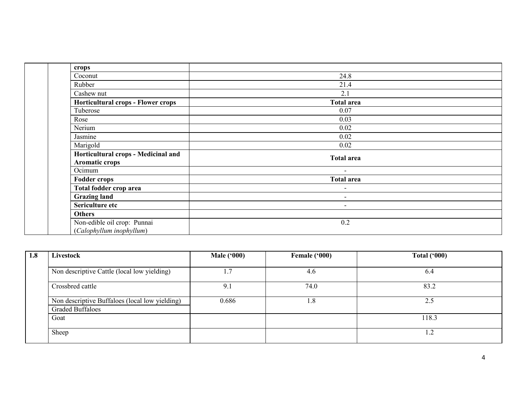| crops                                                 |                          |
|-------------------------------------------------------|--------------------------|
| Coconut                                               | 24.8                     |
| Rubber                                                | 21.4                     |
| Cashew nut                                            | 2.1                      |
| <b>Horticultural crops - Flower crops</b>             | <b>Total area</b>        |
| Tuberose                                              | 0.07                     |
| Rose                                                  | 0.03                     |
| Nerium                                                | 0.02                     |
| Jasmine                                               | 0.02                     |
| Marigold                                              | 0.02                     |
| Horticultural crops - Medicinal and<br>Aromatic crops | <b>Total area</b>        |
| Ocimum                                                | $\overline{\phantom{a}}$ |
| <b>Fodder crops</b>                                   | <b>Total area</b>        |
| Total fodder crop area                                | $\overline{\phantom{a}}$ |
| <b>Grazing land</b>                                   | $\overline{\phantom{a}}$ |
| Sericulture etc                                       | $\overline{\phantom{a}}$ |
| <b>Others</b>                                         |                          |
| Non-edible oil crop: Punnai                           | 0.2                      |
| (Calophyllum inophyllum)                              |                          |

| 1.8 | Livestock                                      | <b>Male ('000)</b> | Female ('000) | <b>Total ('000)</b> |
|-----|------------------------------------------------|--------------------|---------------|---------------------|
|     |                                                |                    |               |                     |
|     | Non descriptive Cattle (local low yielding)    | 1.7                | 4.6           | 6.4                 |
|     |                                                |                    |               |                     |
|     | Crossbred cattle                               | 9.1                | 74.0          | 83.2                |
|     | Non descriptive Buffaloes (local low yielding) | 0.686              | . . 8         | 2.5                 |
|     | <b>Graded Buffaloes</b>                        |                    |               |                     |
|     | Goat                                           |                    |               | 118.3               |
|     |                                                |                    |               |                     |
|     | Sheep                                          |                    |               | 1.2                 |
|     |                                                |                    |               |                     |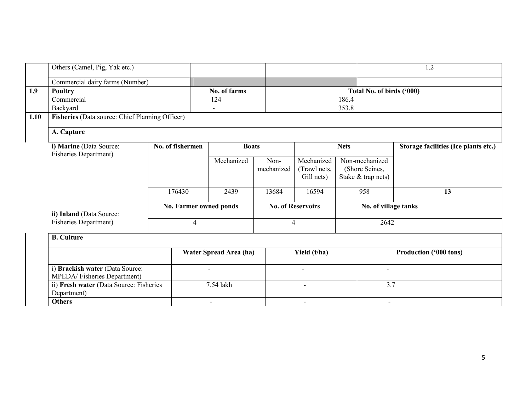| Others (Camel, Pig, Yak etc.)                                  |                  |              |                                          |                    |                                          |                                                        | 1.2                           |
|----------------------------------------------------------------|------------------|--------------|------------------------------------------|--------------------|------------------------------------------|--------------------------------------------------------|-------------------------------|
| Commercial dairy farms (Number)                                |                  |              |                                          |                    |                                          |                                                        |                               |
| <b>Poultry</b>                                                 |                  |              | No. of farms                             |                    |                                          | Total No. of birds ('000)                              |                               |
| Commercial                                                     |                  |              | 124                                      |                    |                                          | 186.4                                                  |                               |
| Backyard                                                       |                  |              | $\blacksquare$                           |                    |                                          | 353.8                                                  |                               |
| Fisheries (Data source: Chief Planning Officer)<br>1.10        |                  |              |                                          |                    |                                          |                                                        |                               |
| A. Capture                                                     |                  |              |                                          |                    |                                          |                                                        |                               |
| i) Marine (Data Source:                                        | No. of fishermen | <b>Boats</b> |                                          | <b>Nets</b>        |                                          | Storage facilities (Ice plants etc.)                   |                               |
| <b>Fisheries Department)</b>                                   |                  |              | Mechanized                               | Non-<br>mechanized | Mechanized<br>(Trawl nets,<br>Gill nets) | Non-mechanized<br>(Shore Seines,<br>Stake & trap nets) |                               |
|                                                                |                  | 176430       | 2439                                     | 13684              | 16594                                    | 958                                                    | 13                            |
| ii) Inland (Data Source:                                       |                  |              | No. Farmer owned ponds<br>$\overline{4}$ |                    | <b>No. of Reservoirs</b>                 |                                                        | No. of village tanks          |
| <b>Fisheries Department)</b>                                   |                  |              |                                          |                    | 4                                        | 2642                                                   |                               |
| <b>B.</b> Culture                                              |                  |              |                                          |                    |                                          |                                                        |                               |
|                                                                |                  |              | Water Spread Area (ha)                   |                    | Yield (t/ha)                             |                                                        | <b>Production ('000 tons)</b> |
| i) Brackish water (Data Source:<br>MPEDA/Fisheries Department) |                  |              | $\overline{a}$                           |                    | $\blacksquare$                           | $\overline{a}$                                         |                               |
| ii) Fresh water (Data Source: Fisheries<br>Department)         |                  |              | 7.54 lakh                                |                    | $\overline{\phantom{a}}$                 | 3.7                                                    |                               |
| <b>Others</b>                                                  |                  |              | $\overline{\phantom{a}}$                 |                    | $\blacksquare$                           |                                                        |                               |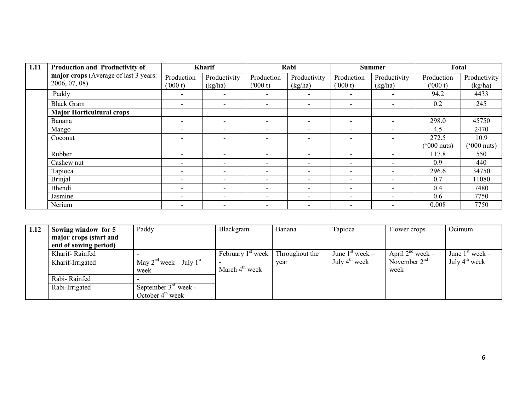| 1.11 | Production and Productivity of        |                          | <b>Kharif</b>            |                          | Rabi                     |                          | <b>Summer</b>            | <b>Total</b>        |                       |
|------|---------------------------------------|--------------------------|--------------------------|--------------------------|--------------------------|--------------------------|--------------------------|---------------------|-----------------------|
|      | major crops (Average of last 3 years: | Production               | Productivity             | Production               | Productivity             | Production               | Productivity             | Production          | Productivity          |
|      | 2006, 07, 08)                         | (000 t)                  | (kg/ha)                  | (000 t)                  | (kg/ha)                  | (1000 t)                 | (kg/ha)                  | (000 t)             | (kg/ha)               |
|      | Paddy                                 |                          |                          |                          |                          |                          |                          | 94.2                | 4433                  |
|      | <b>Black Gram</b>                     | -                        | $\overline{\phantom{0}}$ | -                        | $\overline{\phantom{a}}$ | $\overline{\phantom{a}}$ | $\overline{\phantom{0}}$ | 0.2                 | 245                   |
|      | <b>Major Horticultural crops</b>      |                          |                          |                          |                          |                          |                          |                     |                       |
|      | Banana                                | $\overline{\phantom{0}}$ | $\blacksquare$           | $\overline{\phantom{0}}$ | $\overline{\phantom{a}}$ | $\overline{\phantom{a}}$ | $\overline{\phantom{0}}$ | 298.0               | 45750                 |
|      | Mango                                 | -                        | $\overline{\phantom{0}}$ | -                        | $\overline{\phantom{a}}$ | $\overline{\phantom{0}}$ | $\overline{\phantom{0}}$ | 4.5                 | 2470                  |
|      | Coconut                               | -                        | $\overline{\phantom{0}}$ |                          | $\overline{\phantom{a}}$ |                          |                          | 272.5               | 10.9                  |
|      |                                       |                          |                          |                          |                          |                          |                          | $^{\circ}000$ nuts) | $(5000 \text{ nuts})$ |
|      | Rubber                                | $\overline{\phantom{0}}$ | $\overline{\phantom{0}}$ | $\overline{\phantom{0}}$ | $\overline{\phantom{a}}$ | $\overline{\phantom{0}}$ | $\overline{\phantom{0}}$ | 117.8               | 550                   |
|      | Cashew nut                            |                          |                          |                          | $\overline{\phantom{0}}$ |                          | $\overline{\phantom{0}}$ | 0.9                 | 440                   |
|      | Tapioca                               |                          |                          | -                        | $\overline{\phantom{a}}$ |                          |                          | 296.6               | 34750                 |
|      | <b>Brinjal</b>                        | $\overline{\phantom{0}}$ | $\overline{\phantom{0}}$ | $\overline{\phantom{0}}$ | $\overline{\phantom{a}}$ | $\overline{\phantom{a}}$ | $\overline{\phantom{0}}$ | 0.7                 | 11080                 |
|      | Bhendi                                | -                        | $\overline{\phantom{0}}$ |                          | $\overline{\phantom{0}}$ | $\overline{\phantom{a}}$ |                          | 0.4                 | 7480                  |
|      | Jasmine                               | $\overline{\phantom{0}}$ | $\overline{\phantom{0}}$ | -                        | $\overline{\phantom{a}}$ | $\overline{\phantom{a}}$ | $\overline{\phantom{0}}$ | 0.6                 | 7750                  |
|      | Nerium                                |                          |                          |                          |                          |                          |                          | 0.008               | 7750                  |

| 1.12 | Sowing window for 5    | Paddy                             | Blackgram           | Banana         | Tapioca                   | Flower crops          | Ocimum                    |
|------|------------------------|-----------------------------------|---------------------|----------------|---------------------------|-----------------------|---------------------------|
|      | major crops (start and |                                   |                     |                |                           |                       |                           |
|      | end of sowing period)  |                                   |                     |                |                           |                       |                           |
|      | Kharif-Rainfed         |                                   | February $1st$ week | Throughout the | June $1st$ week –         | April $2^{nd}$ week – | June $1st$ week –         |
|      | Kharif-Irrigated       | May $2^{nd}$ week – July $1^{st}$ |                     | year           | July $4^{\text{th}}$ week | November $2nd$        | July $4^{\text{th}}$ week |
|      |                        | week                              | March $4th$ week    |                |                           | week                  |                           |
|      | Rabi-Rainfed           |                                   |                     |                |                           |                       |                           |
|      | Rabi-Irrigated         | September $3rd$ week -            |                     |                |                           |                       |                           |
|      |                        | October $4th$ week                |                     |                |                           |                       |                           |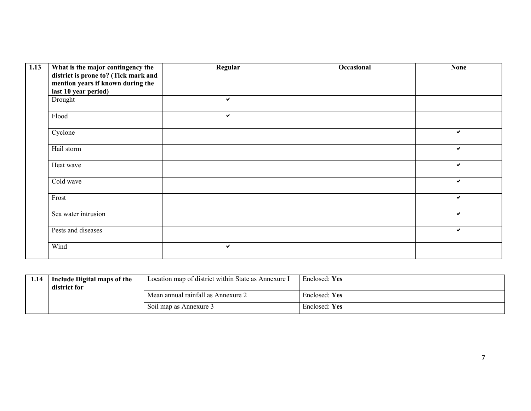| 1.13 | What is the major contingency the    | Regular      | Occasional | <b>None</b> |
|------|--------------------------------------|--------------|------------|-------------|
|      | district is prone to? (Tick mark and |              |            |             |
|      | mention years if known during the    |              |            |             |
|      | last 10 year period)                 |              |            |             |
|      | Drought                              | $\checkmark$ |            |             |
|      | Flood                                | $\checkmark$ |            |             |
|      | Cyclone                              |              |            | ✔           |
|      | Hail storm                           |              |            | ✔           |
|      | Heat wave                            |              |            | ✔           |
|      | Cold wave                            |              |            | ✓           |
|      | Frost                                |              |            | ✓           |
|      | Sea water intrusion                  |              |            | ✔           |
|      | Pests and diseases                   |              |            | ✔           |
|      | Wind                                 | $\checkmark$ |            |             |

| 1.14 | Include Digital maps of the<br>district for | Location map of district within State as Annexure I | <b>Enclosed:</b> Yes |
|------|---------------------------------------------|-----------------------------------------------------|----------------------|
|      |                                             | Mean annual rainfall as Annexure 2                  | Enclosed: Yes        |
|      |                                             | Soil map as Annexure 3                              | Enclosed: Yes        |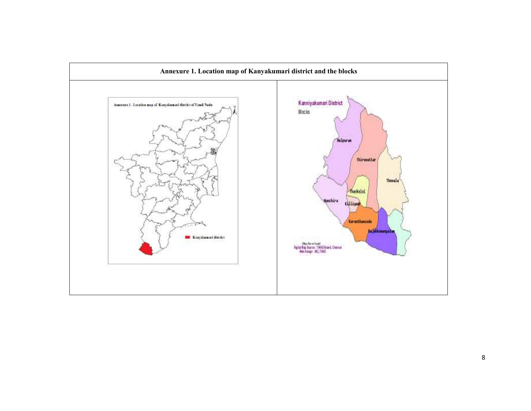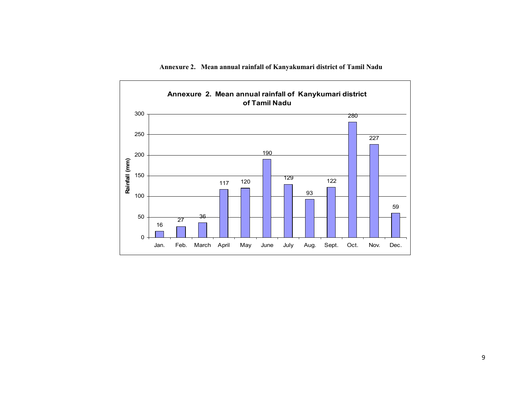

Annexure 2. Mean annual rainfall of Kanyakumari district of Tamil Nadu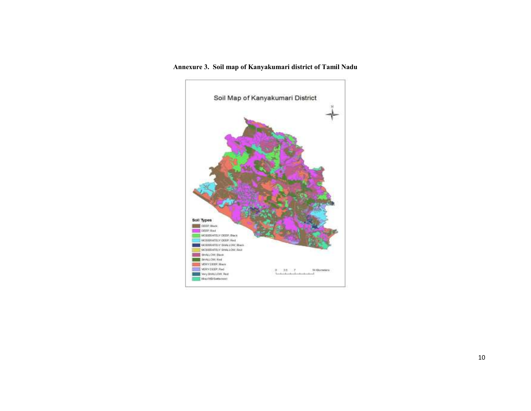#### Annexure 3. Soil map of Kanyakumari district of Tamil Nadu

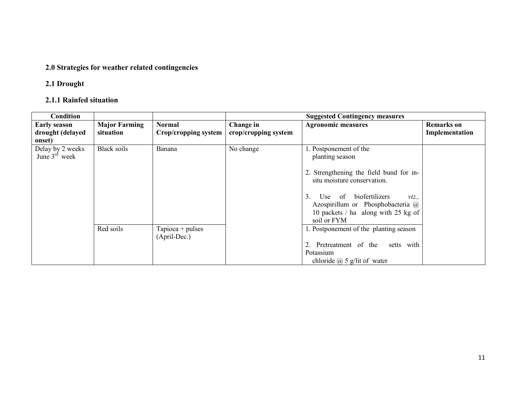#### 2.0 Strategies for weather related contingencies

#### 2.1 Drought

#### 2.1.1 Rainfed situation

| <b>Condition</b>    |                      |                      | <b>Suggested Contingency measures</b> |                                         |                   |  |
|---------------------|----------------------|----------------------|---------------------------------------|-----------------------------------------|-------------------|--|
| <b>Early season</b> | <b>Major Farming</b> | <b>Normal</b>        | Change in                             | <b>Agronomic measures</b>               | <b>Remarks</b> on |  |
| drought (delayed    | situation            | Crop/cropping system | crop/cropping system                  |                                         | Implementation    |  |
| onset)              |                      |                      |                                       |                                         |                   |  |
| Delay by 2 weeks    | <b>Black soils</b>   | Banana               | No change                             | . Postponement of the                   |                   |  |
| June $3rd$ week     |                      |                      |                                       | planting season                         |                   |  |
|                     |                      |                      |                                       |                                         |                   |  |
|                     |                      |                      |                                       | 2. Strengthening the field bund for in- |                   |  |
|                     |                      |                      |                                       | situ moisture conservation.             |                   |  |
|                     |                      |                      |                                       |                                         |                   |  |
|                     |                      |                      |                                       | of biofertilizers<br>3. Use<br>$Viz$ .  |                   |  |
|                     |                      |                      |                                       | Azospirillum or Phosphobacteria @       |                   |  |
|                     |                      |                      |                                       | 10 packets / ha along with 25 kg of     |                   |  |
|                     |                      |                      |                                       | soil or FYM                             |                   |  |
|                     | Red soils            | Tapioca + pulses     |                                       | 1. Postponement of the planting season  |                   |  |
|                     |                      | (April-Dec.)         |                                       |                                         |                   |  |
|                     |                      |                      |                                       | 2. Pretreatment of the setts with       |                   |  |
|                     |                      |                      |                                       | Potassium                               |                   |  |
|                     |                      |                      |                                       | chloride $\omega$ 5 g/lit of water      |                   |  |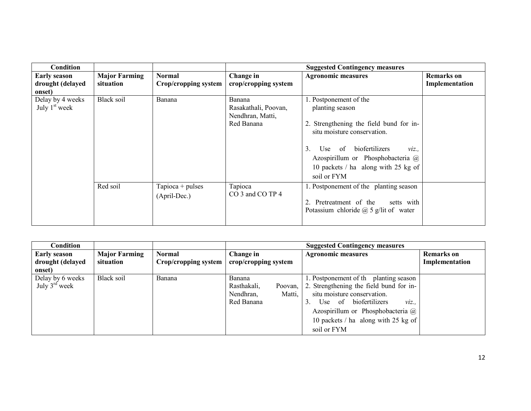| <b>Condition</b>                                  |                                   |                                       |                                                                  | <b>Suggested Contingency measures</b>                                                                                                                                                                                                                    |                                     |
|---------------------------------------------------|-----------------------------------|---------------------------------------|------------------------------------------------------------------|----------------------------------------------------------------------------------------------------------------------------------------------------------------------------------------------------------------------------------------------------------|-------------------------------------|
| <b>Early season</b><br>drought (delayed<br>onset) | <b>Major Farming</b><br>situation | <b>Normal</b><br>Crop/cropping system | Change in<br>crop/cropping system                                | <b>Agronomic measures</b>                                                                                                                                                                                                                                | <b>Remarks</b> on<br>Implementation |
| Delay by 4 weeks<br>July $1st$ week               | Black soil                        | Banana                                | Banana<br>Rasakathali, Poovan,<br>Nendhran, Matti,<br>Red Banana | 1. Postponement of the<br>planting season<br>2. Strengthening the field bund for in-<br>situ moisture conservation.<br>3.<br>Use of biofertilizers<br>$Viz$ .<br>Azospirillum or Phosphobacteria @<br>10 packets / ha along with 25 kg of<br>soil or FYM |                                     |
|                                                   | Red soil                          | Tapioca + pulses<br>(April-Dec.)      | Tapioca<br>CO 3 and CO TP 4                                      | 1. Postponement of the planting season<br>2. Pretreatment of the setts with<br>Potassium chloride $\omega$ 5 g/lit of water                                                                                                                              |                                     |

| <b>Condition</b>                                  |                                   |                                       | <b>Suggested Contingency measures</b>                                 |                                                                                                                                                                                                                                                                           |                                     |
|---------------------------------------------------|-----------------------------------|---------------------------------------|-----------------------------------------------------------------------|---------------------------------------------------------------------------------------------------------------------------------------------------------------------------------------------------------------------------------------------------------------------------|-------------------------------------|
| <b>Early season</b><br>drought (delayed<br>onset) | <b>Major Farming</b><br>situation | <b>Normal</b><br>Crop/cropping system | Change in<br>crop/cropping system                                     | <b>Agronomic measures</b>                                                                                                                                                                                                                                                 | <b>Remarks</b> on<br>Implementation |
| Delay by 6 weeks<br>July $3^{\text{rd}}$ week     | Black soil                        | Banana                                | Banana<br>Rasthakali,<br>Poovan.<br>Nendhran,<br>Matti,<br>Red Banana | 1. Postponement of th planting season<br>2. Strengthening the field bund for in-<br>situ moisture conservation.<br>Use of biofertilizers<br>$\mathcal{V}$ <i>iz.</i> ,<br>3.<br>Azospirillum or Phosphobacteria @<br>10 packets $/$ ha along with 25 kg of<br>soil or FYM |                                     |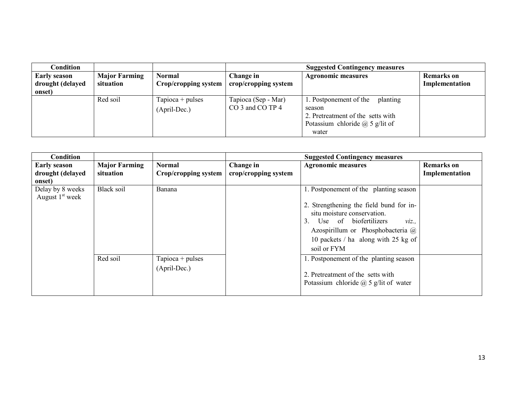| Condition                               |                                   |                                       | <b>Suggested Contingency measures</b>                          |                                                                                                                                      |                                     |
|-----------------------------------------|-----------------------------------|---------------------------------------|----------------------------------------------------------------|--------------------------------------------------------------------------------------------------------------------------------------|-------------------------------------|
| <b>Early season</b><br>drought (delayed | <b>Major Farming</b><br>situation | <b>Normal</b><br>Crop/cropping system | Change in<br><b>Agronomic measures</b><br>crop/cropping system |                                                                                                                                      | <b>Remarks</b> on<br>Implementation |
| onset)                                  |                                   |                                       |                                                                |                                                                                                                                      |                                     |
|                                         | Red soil                          | $Tapioca + pulses$<br>(April-Dec.)    | Tapioca (Sep - Mar)<br>CO 3 and CO TP 4                        | 1. Postponement of the<br>planting<br>season<br>2. Pretreatment of the setts with<br>Potassium chloride $\omega$ 5 g/lit of<br>water |                                     |

| Condition                                         |                                   |                                       | <b>Suggested Contingency measures</b> |                                                                                                                                                                                                                                                 |                                     |
|---------------------------------------------------|-----------------------------------|---------------------------------------|---------------------------------------|-------------------------------------------------------------------------------------------------------------------------------------------------------------------------------------------------------------------------------------------------|-------------------------------------|
| <b>Early season</b><br>drought (delayed<br>onset) | <b>Major Farming</b><br>situation | <b>Normal</b><br>Crop/cropping system | Change in<br>crop/cropping system     | <b>Agronomic measures</b>                                                                                                                                                                                                                       | <b>Remarks</b> on<br>Implementation |
| Delay by 8 weeks<br>August $1st$ week             | <b>Black soil</b>                 | Banana                                |                                       | 1. Postponement of the planting season<br>2. Strengthening the field bund for in-<br>situ moisture conservation.<br>3. Use of biofertilizers<br>viz.<br>Azospirillum or Phosphobacteria @<br>10 packets / ha along with 25 kg of<br>soil or FYM |                                     |
|                                                   | Red soil                          | $Tapioca + pulses$<br>(April-Dec.)    |                                       | 1. Postponement of the planting season<br>2. Pretreatment of the setts with<br>Potassium chloride $\omega$ 5 g/lit of water                                                                                                                     |                                     |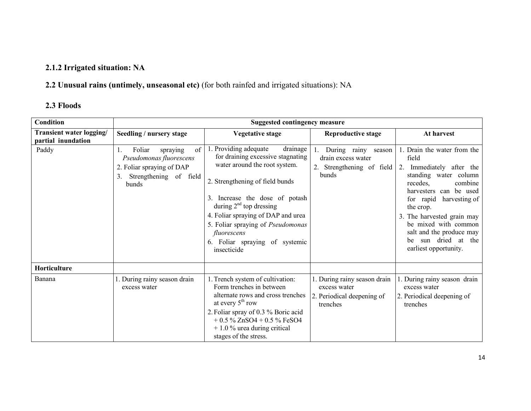# 2.1.2 Irrigated situation: NA

# 2.2 Unusual rains (untimely, unseasonal etc) (for both rainfed and irrigated situations): NA

# 2.3 Floods

| <b>Condition</b>                               | <b>Suggested contingency measure</b>                                                                                      |                                                                                                                                                                                                                                                                                                                                                      |                                                                                        |                                                                                                                                                                                                                                                                                                                                   |  |
|------------------------------------------------|---------------------------------------------------------------------------------------------------------------------------|------------------------------------------------------------------------------------------------------------------------------------------------------------------------------------------------------------------------------------------------------------------------------------------------------------------------------------------------------|----------------------------------------------------------------------------------------|-----------------------------------------------------------------------------------------------------------------------------------------------------------------------------------------------------------------------------------------------------------------------------------------------------------------------------------|--|
| Transient water logging/<br>partial inundation | Seedling / nursery stage                                                                                                  | <b>Vegetative stage</b>                                                                                                                                                                                                                                                                                                                              | <b>Reproductive stage</b>                                                              | At harvest                                                                                                                                                                                                                                                                                                                        |  |
| Paddy                                          | Foliar<br>of<br>spraying<br>Pseudomonas fluorescens<br>2. Foliar spraying of DAP<br>Strengthening of field<br>3.<br>bunds | 1. Providing adequate<br>drainage<br>for draining excessive stagnating<br>water around the root system.<br>2. Strengthening of field bunds<br>3. Increase the dose of potash<br>during $2nd$ top dressing<br>4. Foliar spraying of DAP and urea<br>5. Foliar spraying of Pseudomonas<br>fluorescens<br>6. Foliar spraying of systemic<br>insecticide | During rainy season<br>drain excess water<br>2. Strengthening of field<br>bunds        | 1. Drain the water from the<br>field<br>2. Immediately after the<br>standing water column<br>recedes,<br>combine<br>harvesters can be used<br>for rapid<br>harvesting of<br>the crop.<br>3. The harvested grain may<br>be mixed with common<br>salt and the produce may<br>sun dried at the<br><b>be</b><br>earliest opportunity. |  |
| Horticulture                                   |                                                                                                                           |                                                                                                                                                                                                                                                                                                                                                      |                                                                                        |                                                                                                                                                                                                                                                                                                                                   |  |
| Banana                                         | 1. During rainy season drain<br>excess water                                                                              | 1. Trench system of cultivation:<br>Form trenches in between<br>alternate rows and cross trenches<br>at every $5th$ row<br>2. Foliar spray of 0.3 % Boric acid<br>$+0.5\%$ ZnSO4 + 0.5 % FeSO4<br>$+1.0\%$ urea during critical<br>stages of the stress.                                                                                             | 1. During rainy season drain<br>excess water<br>2. Periodical deepening of<br>trenches | . During rainy season drain<br>excess water<br>2. Periodical deepening of<br>trenches                                                                                                                                                                                                                                             |  |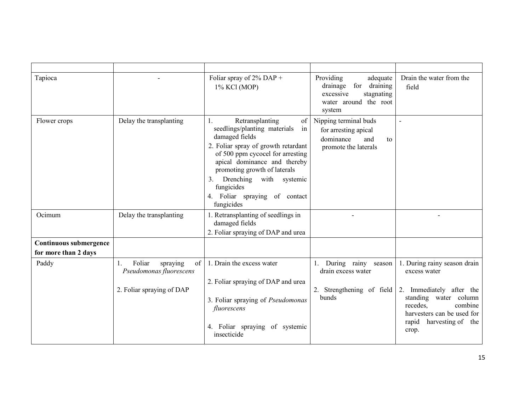| Tapioca                                        |                                                                                                  | Foliar spray of $2\%$ DAP +<br>1% KCl (MOP)                                                                                                                                                                                                                                                                                           | Providing<br>adequate<br>drainage for draining<br>stagnating<br>excessive<br>water around the root<br>system | Drain the water from the<br>field                                                                                                                                                          |
|------------------------------------------------|--------------------------------------------------------------------------------------------------|---------------------------------------------------------------------------------------------------------------------------------------------------------------------------------------------------------------------------------------------------------------------------------------------------------------------------------------|--------------------------------------------------------------------------------------------------------------|--------------------------------------------------------------------------------------------------------------------------------------------------------------------------------------------|
| Flower crops                                   | Delay the transplanting                                                                          | Retransplanting<br>of<br>in<br>seedlings/planting materials<br>damaged fields<br>2. Foliar spray of growth retardant<br>of 500 ppm cycocel for arresting<br>apical dominance and thereby<br>promoting growth of laterals<br>Drenching with<br>systemic<br>3 <sub>1</sub><br>fungicides<br>4. Foliar spraying of contact<br>fungicides | Nipping terminal buds<br>for arresting apical<br>dominance<br>and<br>to<br>promote the laterals              | $\overline{a}$                                                                                                                                                                             |
| Ocimum                                         | Delay the transplanting                                                                          | 1. Retransplanting of seedlings in<br>damaged fields<br>2. Foliar spraying of DAP and urea                                                                                                                                                                                                                                            |                                                                                                              |                                                                                                                                                                                            |
| Continuous submergence<br>for more than 2 days |                                                                                                  |                                                                                                                                                                                                                                                                                                                                       |                                                                                                              |                                                                                                                                                                                            |
| Paddy                                          | Foliar<br>of<br>spraying<br>$\mathbf{L}$<br>Pseudomonas fluorescens<br>2. Foliar spraying of DAP | 1. Drain the excess water<br>2. Foliar spraying of DAP and urea<br>3. Foliar spraying of Pseudomonas<br>fluorescens<br>4. Foliar spraying of systemic<br>insecticide                                                                                                                                                                  | During rainy season<br>drain excess water<br>2. Strengthening of field<br>bunds                              | 1. During rainy season drain<br>excess water<br>2. Immediately after the<br>standing water column<br>recedes,<br>combine<br>harvesters can be used for<br>rapid harvesting of the<br>crop. |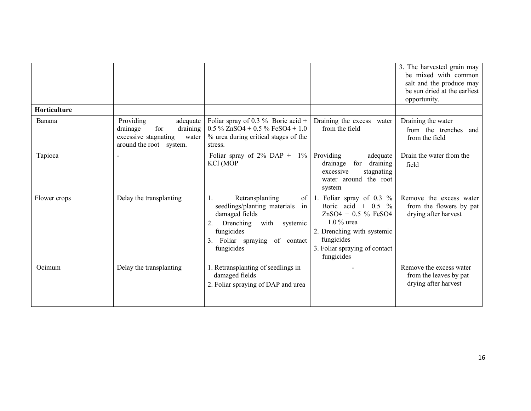|                     |                                                                                                                  |                                                                                                                                                                                      |                                                                                                                                                                                          | 3. The harvested grain may<br>be mixed with common<br>salt and the produce may<br>be sun dried at the earliest<br>opportunity. |
|---------------------|------------------------------------------------------------------------------------------------------------------|--------------------------------------------------------------------------------------------------------------------------------------------------------------------------------------|------------------------------------------------------------------------------------------------------------------------------------------------------------------------------------------|--------------------------------------------------------------------------------------------------------------------------------|
| <b>Horticulture</b> |                                                                                                                  |                                                                                                                                                                                      |                                                                                                                                                                                          |                                                                                                                                |
| Banana              | Providing<br>adequate<br>for<br>draining<br>drainage<br>excessive stagnating<br>water<br>around the root system. | Foliar spray of 0.3 % Boric acid +<br>$0.5\%$ ZnSO4 + 0.5 % FeSO4 + 1.0<br>% urea during critical stages of the<br>stress.                                                           | Draining the excess water<br>from the field                                                                                                                                              | Draining the water<br>from the trenches and<br>from the field                                                                  |
| Tapioca             |                                                                                                                  | Foliar spray of $2\%$ DAP + $1\%$<br>KCl (MOP                                                                                                                                        | Providing<br>adequate<br>for draining<br>drainage<br>excessive<br>stagnating<br>water around the root<br>system                                                                          | Drain the water from the<br>field                                                                                              |
| Flower crops        | Delay the transplanting                                                                                          | Retransplanting<br>of<br>1.<br>seedlings/planting materials<br>in<br>damaged fields<br>Drenching<br>with systemic<br>2.<br>fungicides<br>3. Foliar spraying of contact<br>fungicides | 1. Foliar spray of $0.3\%$<br>Boric acid + $0.5\%$<br>$ZnSO4 + 0.5 \% FeSO4$<br>$+1.0\%$ urea<br>2. Drenching with systemic<br>fungicides<br>3. Foliar spraying of contact<br>fungicides | Remove the excess water<br>from the flowers by pat<br>drying after harvest                                                     |
| Ocimum              | Delay the transplanting                                                                                          | 1. Retransplanting of seedlings in<br>damaged fields<br>2. Foliar spraying of DAP and urea                                                                                           |                                                                                                                                                                                          | Remove the excess water<br>from the leaves by pat<br>drying after harvest                                                      |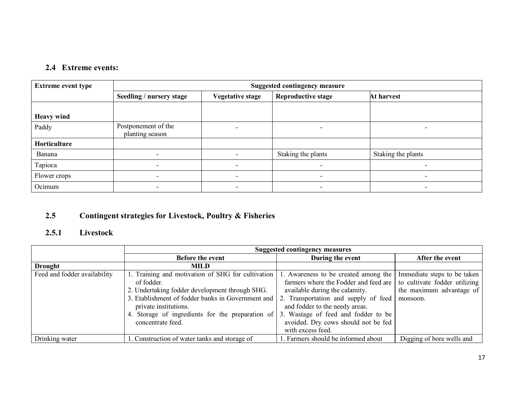### 2.4 Extreme events:

| <b>Extreme event type</b> | <b>Suggested contingency measure</b>   |                         |                           |                          |  |  |
|---------------------------|----------------------------------------|-------------------------|---------------------------|--------------------------|--|--|
|                           | Seedling / nursery stage               | <b>Vegetative stage</b> | <b>Reproductive stage</b> | At harvest               |  |  |
|                           |                                        |                         |                           |                          |  |  |
| <b>Heavy wind</b>         |                                        |                         |                           |                          |  |  |
| Paddy                     | Postponement of the<br>planting season |                         |                           | $\overline{\phantom{0}}$ |  |  |
| Horticulture              |                                        |                         |                           |                          |  |  |
| Banana                    |                                        |                         | Staking the plants        | Staking the plants       |  |  |
| Tapioca                   |                                        |                         |                           | -                        |  |  |
| Flower crops              |                                        |                         |                           | -                        |  |  |
| Ocimum                    | $\overline{\phantom{0}}$               |                         |                           | $\blacksquare$           |  |  |

#### 2.5Contingent strategies for Livestock, Poultry & Fisheries

### 2.5.1 Livestock

|                              | <b>Suggested contingency measures</b>             |                                       |                               |  |
|------------------------------|---------------------------------------------------|---------------------------------------|-------------------------------|--|
|                              | <b>Before the event</b>                           | During the event                      | After the event               |  |
| <b>Drought</b>               | <b>MILD</b>                                       |                                       |                               |  |
| Feed and fodder availability | 1. Training and motivation of SHG for cultivation | . Awareness to be created among the   | Immediate steps to be taken   |  |
|                              | of fodder.                                        | farmers where the Fodder and feed are | to cultivate fodder utilizing |  |
|                              | 2. Undertaking fodder development through SHG.    | available during the calamity.        | the maximum advantage of      |  |
|                              | 3. Etablishment of fodder banks in Government and | 2. Transportation and supply of feed  | monsoon.                      |  |
|                              | private institutions.                             | and fodder to the needy areas.        |                               |  |
|                              | 4. Storage of ingredients for the preparation of  | 3. Wastage of feed and fodder to be   |                               |  |
|                              | concentrate feed.                                 | avoided. Dry cows should not be fed   |                               |  |
|                              |                                                   | with excess feed.                     |                               |  |
| Drinking water               | . Construction of water tanks and storage of      | Farmers should be informed about      | Digging of bore wells and     |  |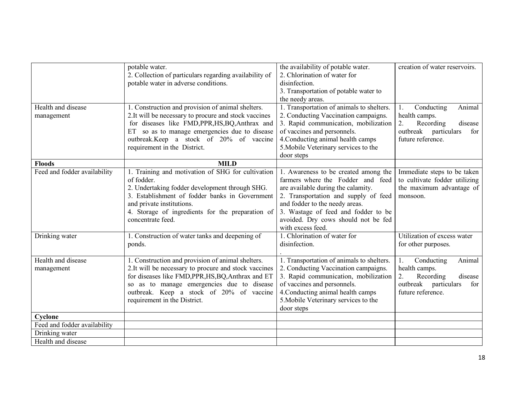|                              | potable water.                                         | the availability of potable water.        | creation of water reservoirs. |
|------------------------------|--------------------------------------------------------|-------------------------------------------|-------------------------------|
|                              | 2. Collection of particulars regarding availability of | 2. Chlorination of water for              |                               |
|                              | potable water in adverse conditions.                   | disinfection.                             |                               |
|                              |                                                        | 3. Transportation of potable water to     |                               |
|                              |                                                        | the needy areas.                          |                               |
| Health and disease           | 1. Construction and provision of animal shelters.      | 1. Transportation of animals to shelters. | Conducting<br>Animal<br>1.    |
| management                   | 2. It will be necessary to procure and stock vaccines  | 2. Conducting Vaccination campaigns.      | health camps.                 |
|                              | for diseases like FMD, PPR, HS, BQ, Anthrax and        | 3. Rapid communication, mobilization      | 2.<br>Recording<br>disease    |
|                              | ET so as to manage emergencies due to disease          | of vaccines and personnels.               | outbreak particulars<br>for   |
|                              | outbreak.Keep a stock of 20% of vaccine                | 4. Conducting animal health camps         | future reference.             |
|                              | requirement in the District.                           | 5. Mobile Veterinary services to the      |                               |
|                              |                                                        | door steps                                |                               |
| <b>Floods</b>                | <b>MILD</b>                                            |                                           |                               |
| Feed and fodder availability | 1. Training and motivation of SHG for cultivation      | 1. Awareness to be created among the      | Immediate steps to be taken   |
|                              | of fodder.                                             | farmers where the Fodder and feed         | to cultivate fodder utilizing |
|                              | 2. Undertaking fodder development through SHG.         | are available during the calamity.        | the maximum advantage of      |
|                              | 3. Establishment of fodder banks in Government         | 2. Transportation and supply of feed      | monsoon.                      |
|                              | and private institutions.                              | and fodder to the needy areas.            |                               |
|                              | 4. Storage of ingredients for the preparation of       | 3. Wastage of feed and fodder to be       |                               |
|                              | concentrate feed.                                      | avoided. Dry cows should not be fed       |                               |
|                              |                                                        | with excess feed.                         |                               |
| Drinking water               | 1. Construction of water tanks and deepening of        | 1. Chlorination of water for              | Utilization of excess water   |
|                              | ponds.                                                 | disinfection.                             | for other purposes.           |
|                              |                                                        |                                           |                               |
| Health and disease           | 1. Construction and provision of animal shelters.      | 1. Transportation of animals to shelters. | 1.<br>Conducting<br>Animal    |
| management                   | 2.It will be necessary to procure and stock vaccines   | 2. Conducting Vaccination campaigns.      | health camps.                 |
|                              | for diseases like FMD, PPR, HS, BQ, Anthrax and ET     | 3. Rapid communication, mobilization      | 2.<br>disease<br>Recording    |
|                              | so as to manage emergencies due to disease             | of vaccines and personnels.               | outbreak particulars<br>for   |
|                              | outbreak. Keep a stock of 20% of vaccine               | 4. Conducting animal health camps         | future reference.             |
|                              | requirement in the District.                           | 5. Mobile Veterinary services to the      |                               |
|                              |                                                        | door steps                                |                               |
| Cyclone                      |                                                        |                                           |                               |
| Feed and fodder availability |                                                        |                                           |                               |
| Drinking water               |                                                        |                                           |                               |
| Health and disease           |                                                        |                                           |                               |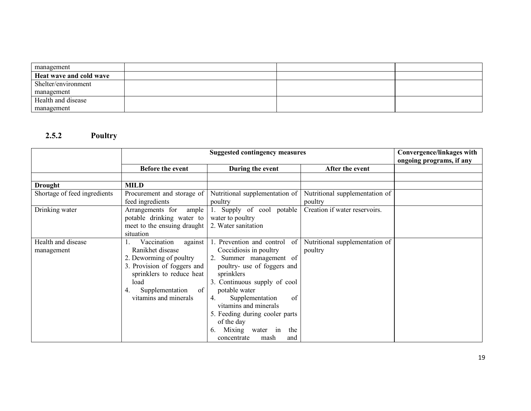| management              |  |  |
|-------------------------|--|--|
| Heat wave and cold wave |  |  |
| Shelter/environment     |  |  |
| management              |  |  |
| Health and disease      |  |  |
| management              |  |  |

### 2.5.2 Poultry

|                                  | <b>Suggested contingency measures</b>                                                                                                                                                             |                                                                                                                                                                                                                                                                                                                                                           | Convergence/linkages with<br>ongoing programs, if any |  |
|----------------------------------|---------------------------------------------------------------------------------------------------------------------------------------------------------------------------------------------------|-----------------------------------------------------------------------------------------------------------------------------------------------------------------------------------------------------------------------------------------------------------------------------------------------------------------------------------------------------------|-------------------------------------------------------|--|
|                                  | <b>Before the event</b>                                                                                                                                                                           | During the event                                                                                                                                                                                                                                                                                                                                          | After the event                                       |  |
|                                  |                                                                                                                                                                                                   |                                                                                                                                                                                                                                                                                                                                                           |                                                       |  |
| <b>Drought</b>                   | <b>MILD</b>                                                                                                                                                                                       |                                                                                                                                                                                                                                                                                                                                                           |                                                       |  |
| Shortage of feed ingredients     | Procurement and storage of<br>feed ingredients                                                                                                                                                    | Nutritional supplementation of<br>poultry                                                                                                                                                                                                                                                                                                                 | Nutritional supplementation of<br>poultry             |  |
| Drinking water                   | Arrangements for<br>ample<br>potable drinking water to<br>meet to the ensuing draught<br>situation                                                                                                | 1. Supply of cool potable<br>water to poultry<br>2. Water sanitation                                                                                                                                                                                                                                                                                      | Creation if water reservoirs.                         |  |
| Health and disease<br>management | Vaccination<br>against<br>Ranikhet disease<br>2. Deworming of poultry<br>3. Provision of foggers and<br>sprinklers to reduce heat<br>load<br>of<br>Supplementation<br>4.<br>vitamins and minerals | 1. Prevention and control<br>-of<br>Coccidiosis in poultry<br>2. Summer management of<br>poultry- use of foggers and<br>sprinklers<br>3. Continuous supply of cool<br>potable water<br>Supplementation<br>of<br>4.<br>vitamins and minerals<br>5. Feeding during cooler parts<br>of the day<br>Mixing water in<br>the<br>6.<br>concentrate<br>mash<br>and | Nutritional supplementation of<br>poultry             |  |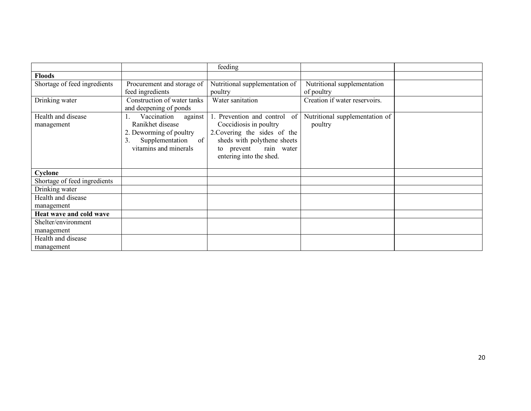|                              |                             | feeding                        |                                |  |
|------------------------------|-----------------------------|--------------------------------|--------------------------------|--|
| <b>Floods</b>                |                             |                                |                                |  |
| Shortage of feed ingredients | Procurement and storage of  | Nutritional supplementation of | Nutritional supplementation    |  |
|                              | feed ingredients            | poultry                        | of poultry                     |  |
| Drinking water               | Construction of water tanks | Water sanitation               | Creation if water reservoirs.  |  |
|                              | and deepening of ponds      |                                |                                |  |
| Health and disease           | against<br>Vaccination      | 1. Prevention and control of   | Nutritional supplementation of |  |
| management                   | Ranikhet disease            | Coccidiosis in poultry         | poultry                        |  |
|                              | 2. Deworming of poultry     | 2. Covering the sides of the   |                                |  |
|                              | Supplementation<br>of<br>3. | sheds with polythene sheets    |                                |  |
|                              | vitamins and minerals       | rain water<br>prevent<br>to    |                                |  |
|                              |                             | entering into the shed.        |                                |  |
|                              |                             |                                |                                |  |
| Cyclone                      |                             |                                |                                |  |
| Shortage of feed ingredients |                             |                                |                                |  |
| Drinking water               |                             |                                |                                |  |
| Health and disease           |                             |                                |                                |  |
| management                   |                             |                                |                                |  |
| Heat wave and cold wave      |                             |                                |                                |  |
| Shelter/environment          |                             |                                |                                |  |
| management                   |                             |                                |                                |  |
| Health and disease           |                             |                                |                                |  |
| management                   |                             |                                |                                |  |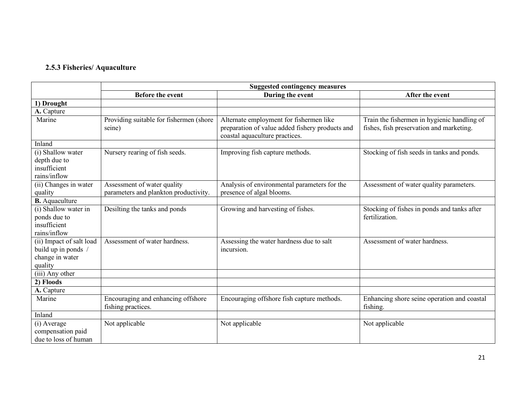#### 2.5.3 Fisheries/ Aquaculture

|                                                                               | <b>Suggested contingency measures</b>                    |                                                                                                                              |                                                                                         |  |
|-------------------------------------------------------------------------------|----------------------------------------------------------|------------------------------------------------------------------------------------------------------------------------------|-----------------------------------------------------------------------------------------|--|
|                                                                               | <b>Before the event</b>                                  | During the event                                                                                                             | After the event                                                                         |  |
| 1) Drought                                                                    |                                                          |                                                                                                                              |                                                                                         |  |
| A. Capture                                                                    |                                                          |                                                                                                                              |                                                                                         |  |
| Marine                                                                        | Providing suitable for fishermen (shore<br>seine)        | Alternate employment for fishermen like<br>preparation of value added fishery products and<br>coastal aquaculture practices. | Train the fishermen in hygienic handling of<br>fishes, fish preservation and marketing. |  |
| Inland                                                                        |                                                          |                                                                                                                              |                                                                                         |  |
| (i) Shallow water<br>depth due to<br>insufficient<br>rains/inflow             | Nursery rearing of fish seeds.                           | Improving fish capture methods.                                                                                              | Stocking of fish seeds in tanks and ponds.                                              |  |
| (ii) Changes in water                                                         | Assessment of water quality                              | Analysis of environmental parameters for the                                                                                 | Assessment of water quality parameters.                                                 |  |
| quality                                                                       | parameters and plankton productivity.                    | presence of algal blooms.                                                                                                    |                                                                                         |  |
| <b>B.</b> Aquaculture                                                         |                                                          |                                                                                                                              |                                                                                         |  |
| (i) Shallow water in<br>ponds due to<br>insufficient<br>rains/inflow          | Desilting the tanks and ponds                            | Growing and harvesting of fishes.                                                                                            | Stocking of fishes in ponds and tanks after<br>fertilization.                           |  |
| (ii) Impact of salt load<br>build up in ponds /<br>change in water<br>quality | Assessment of water hardness.                            | Assessing the water hardness due to salt<br>incursion.                                                                       | Assessment of water hardness.                                                           |  |
| (iii) Any other                                                               |                                                          |                                                                                                                              |                                                                                         |  |
| 2) Floods                                                                     |                                                          |                                                                                                                              |                                                                                         |  |
| A. Capture                                                                    |                                                          |                                                                                                                              |                                                                                         |  |
| Marine                                                                        | Encouraging and enhancing offshore<br>fishing practices. | Encouraging offshore fish capture methods.                                                                                   | Enhancing shore seine operation and coastal<br>fishing.                                 |  |
| Inland                                                                        |                                                          |                                                                                                                              |                                                                                         |  |
| (i) Average<br>compensation paid<br>due to loss of human                      | Not applicable                                           | Not applicable                                                                                                               | Not applicable                                                                          |  |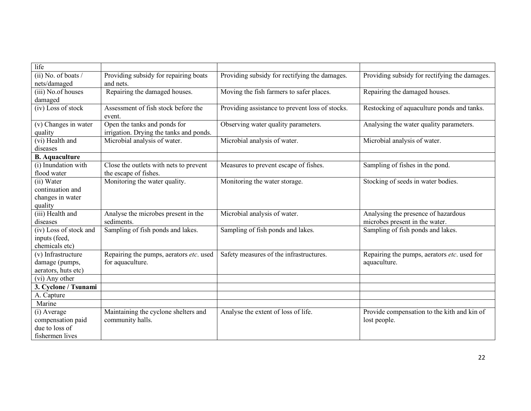| life                              |                                               |                                                 |                                               |
|-----------------------------------|-----------------------------------------------|-------------------------------------------------|-----------------------------------------------|
| $(ii)$ No. of boats /             | Providing subsidy for repairing boats         | Providing subsidy for rectifying the damages.   | Providing subsidy for rectifying the damages. |
| nets/damaged                      | and nets.                                     |                                                 |                                               |
| (iii) No.of houses                | Repairing the damaged houses.                 | Moving the fish farmers to safer places.        | Repairing the damaged houses.                 |
| damaged                           |                                               |                                                 |                                               |
| (iv) Loss of stock                | Assessment of fish stock before the<br>event. | Providing assistance to prevent loss of stocks. | Restocking of aquaculture ponds and tanks.    |
| $\overline{(v)}$ Changes in water | Open the tanks and ponds for                  | Observing water quality parameters.             | Analysing the water quality parameters.       |
| quality                           | irrigation. Drying the tanks and ponds.       |                                                 |                                               |
| $(vi)$ Health and                 | Microbial analysis of water.                  | Microbial analysis of water.                    | Microbial analysis of water.                  |
| diseases                          |                                               |                                                 |                                               |
| <b>B.</b> Aquaculture             |                                               |                                                 |                                               |
| (i) Inundation with               | Close the outlets with nets to prevent        | Measures to prevent escape of fishes.           | Sampling of fishes in the pond.               |
| flood water                       | the escape of fishes.                         |                                                 |                                               |
| (ii) Water                        | Monitoring the water quality.                 | Monitoring the water storage.                   | Stocking of seeds in water bodies.            |
| continuation and                  |                                               |                                                 |                                               |
| changes in water                  |                                               |                                                 |                                               |
| quality                           |                                               |                                                 |                                               |
| (iii) Health and                  | Analyse the microbes present in the           | Microbial analysis of water.                    | Analysing the presence of hazardous           |
| diseases                          | sediments.                                    |                                                 | microbes present in the water.                |
| (iv) Loss of stock and            | Sampling of fish ponds and lakes.             | Sampling of fish ponds and lakes.               | Sampling of fish ponds and lakes.             |
| inputs (feed,                     |                                               |                                                 |                                               |
| chemicals etc)                    |                                               |                                                 |                                               |
| (v) Infrastructure                | Repairing the pumps, aerators etc. used       | Safety measures of the infrastructures.         | Repairing the pumps, aerators etc. used for   |
| damage (pumps,                    | for aquaculture.                              |                                                 | aquaculture.                                  |
| aerators, huts etc)               |                                               |                                                 |                                               |
| (vi) Any other                    |                                               |                                                 |                                               |
| 3. Cyclone / Tsunami              |                                               |                                                 |                                               |
| A. Capture                        |                                               |                                                 |                                               |
| Marine                            |                                               |                                                 |                                               |
| (i) Average                       | Maintaining the cyclone shelters and          | Analyse the extent of loss of life.             | Provide compensation to the kith and kin of   |
| compensation paid                 | community halls.                              |                                                 | lost people.                                  |
| due to loss of                    |                                               |                                                 |                                               |
| fishermen lives                   |                                               |                                                 |                                               |